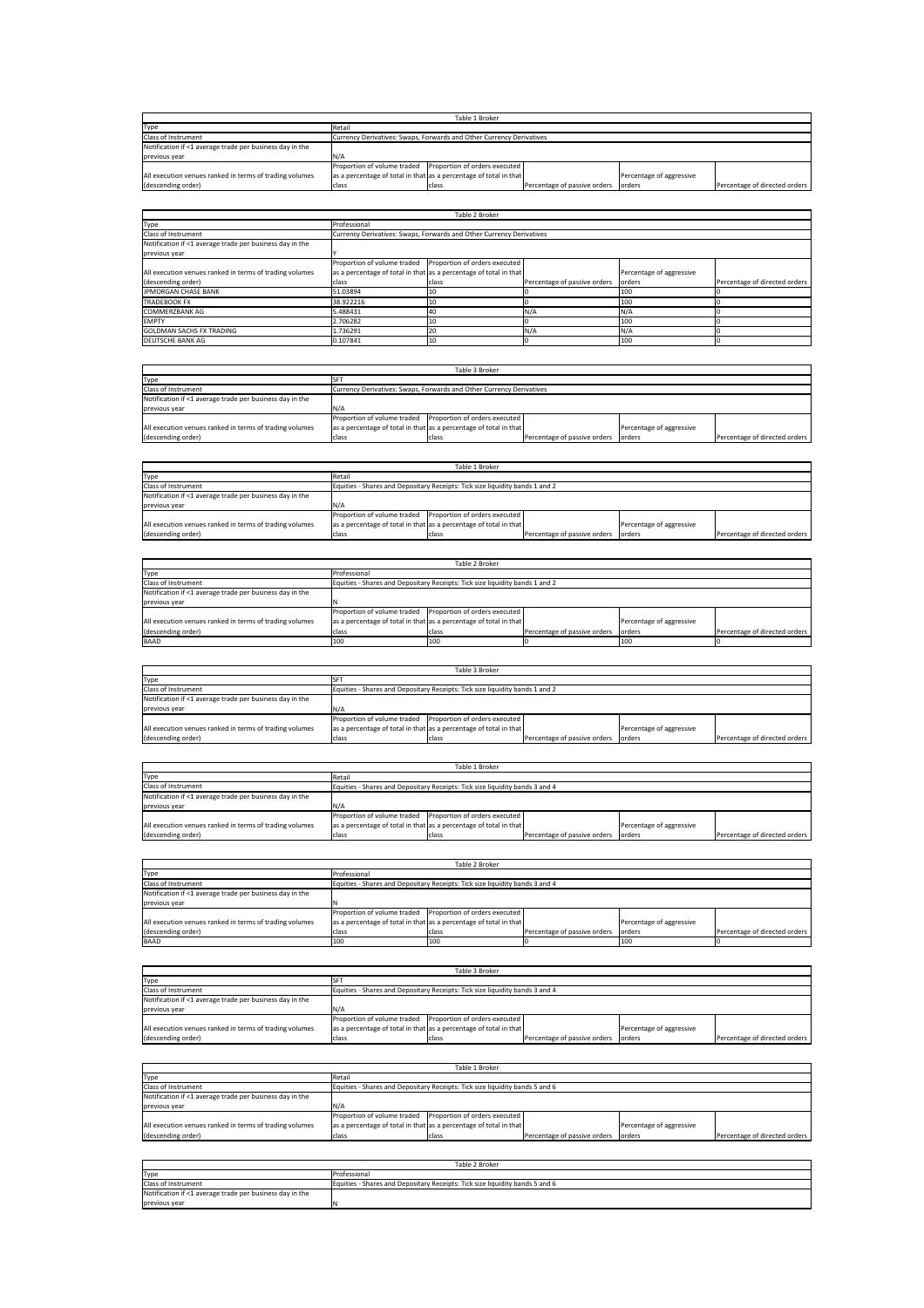| Table 1 Broker                                           |        |                                                                      |                              |                          |                               |  |
|----------------------------------------------------------|--------|----------------------------------------------------------------------|------------------------------|--------------------------|-------------------------------|--|
| Type                                                     | Retail |                                                                      |                              |                          |                               |  |
| Class of Instrument                                      |        | Currency Derivatives: Swaps, Forwards and Other Currency Derivatives |                              |                          |                               |  |
| Notification if <1 average trade per business day in the |        |                                                                      |                              |                          |                               |  |
| previous year                                            | N/A    |                                                                      |                              |                          |                               |  |
|                                                          |        | Proportion of volume traded Proportion of orders executed            |                              |                          |                               |  |
| All execution venues ranked in terms of trading volumes  |        | as a percentage of total in that as a percentage of total in that    |                              | Percentage of aggressive |                               |  |
| (descending order)                                       | class  | class                                                                | Percentage of passive orders | orders                   | Percentage of directed orders |  |

|                                                          |                                                                      | Table 2 Broker                |                              |                          |                               |  |  |  |
|----------------------------------------------------------|----------------------------------------------------------------------|-------------------------------|------------------------------|--------------------------|-------------------------------|--|--|--|
| Type                                                     | Professional                                                         |                               |                              |                          |                               |  |  |  |
| Class of Instrument                                      | Currency Derivatives: Swaps, Forwards and Other Currency Derivatives |                               |                              |                          |                               |  |  |  |
| Notification if <1 average trade per business day in the |                                                                      |                               |                              |                          |                               |  |  |  |
| previous year                                            |                                                                      |                               |                              |                          |                               |  |  |  |
|                                                          | Proportion of volume traded                                          | Proportion of orders executed |                              |                          |                               |  |  |  |
| All execution venues ranked in terms of trading volumes  | as a percentage of total in that as a percentage of total in that    |                               |                              | Percentage of aggressive |                               |  |  |  |
| (descending order)                                       | class                                                                | class                         | Percentage of passive orders | orders                   | Percentage of directed orders |  |  |  |
| JPMORGAN CHASE BANK                                      | 51.03894                                                             | 10                            |                              | 100                      |                               |  |  |  |
| <b>TRADEBOOK FX</b>                                      | 38.922216                                                            | 10                            |                              | 100                      |                               |  |  |  |
| COMMERZBANK AG                                           | 5.488431                                                             | 40                            | N/A                          | N/A                      |                               |  |  |  |
| <b>FMPTY</b>                                             | 2.706282                                                             | 10                            |                              | 100                      |                               |  |  |  |
| <b>GOLDMAN SACHS FX TRADING</b>                          | 1.736291                                                             | 20                            | N/A                          | N/A                      |                               |  |  |  |
| DEUTSCHE BANK AG                                         | 0.107841                                                             | 10                            |                              | 100                      |                               |  |  |  |

|                                                          | Table 3 Broker                                                    |                                                                      |                              |                          |                               |  |  |
|----------------------------------------------------------|-------------------------------------------------------------------|----------------------------------------------------------------------|------------------------------|--------------------------|-------------------------------|--|--|
| Type                                                     |                                                                   |                                                                      |                              |                          |                               |  |  |
| Class of Instrument                                      |                                                                   | Currency Derivatives: Swaps, Forwards and Other Currency Derivatives |                              |                          |                               |  |  |
| Notification if <1 average trade per business day in the |                                                                   |                                                                      |                              |                          |                               |  |  |
| previous year                                            | N/A                                                               |                                                                      |                              |                          |                               |  |  |
|                                                          | Proportion of volume traded Proportion of orders executed         |                                                                      |                              |                          |                               |  |  |
| All execution venues ranked in terms of trading volumes  | as a percentage of total in that as a percentage of total in that |                                                                      |                              | Percentage of aggressive |                               |  |  |
| (descending order)                                       | class                                                             | class                                                                | Percentage of passive orders | lorders                  | Percentage of directed orders |  |  |

| Table 1 Broker |  |       |                                                                                                                                                                                                                                                |                               |  |  |
|----------------|--|-------|------------------------------------------------------------------------------------------------------------------------------------------------------------------------------------------------------------------------------------------------|-------------------------------|--|--|
| Retail         |  |       |                                                                                                                                                                                                                                                |                               |  |  |
|                |  |       |                                                                                                                                                                                                                                                |                               |  |  |
|                |  |       |                                                                                                                                                                                                                                                |                               |  |  |
| N/A            |  |       |                                                                                                                                                                                                                                                |                               |  |  |
|                |  |       |                                                                                                                                                                                                                                                |                               |  |  |
|                |  |       | Percentage of aggressive                                                                                                                                                                                                                       |                               |  |  |
| class          |  |       |                                                                                                                                                                                                                                                | Percentage of directed orders |  |  |
|                |  | class | Equities - Shares and Depositary Receipts: Tick size liquidity bands 1 and 2<br>Proportion of volume traded Proportion of orders executed<br>as a percentage of total in that as a percentage of total in that<br>Percentage of passive orders | orders                        |  |  |

| Table 2 Broker                                           |                                                                              |       |                              |                          |                               |  |  |  |
|----------------------------------------------------------|------------------------------------------------------------------------------|-------|------------------------------|--------------------------|-------------------------------|--|--|--|
| Type                                                     | Professional                                                                 |       |                              |                          |                               |  |  |  |
| Class of Instrument                                      | Equities - Shares and Depositary Receipts: Tick size liquidity bands 1 and 2 |       |                              |                          |                               |  |  |  |
| Notification if <1 average trade per business day in the |                                                                              |       |                              |                          |                               |  |  |  |
| previous year                                            |                                                                              |       |                              |                          |                               |  |  |  |
|                                                          | Proportion of volume traded Proportion of orders executed                    |       |                              |                          |                               |  |  |  |
| All execution venues ranked in terms of trading volumes  | as a percentage of total in that as a percentage of total in that            |       |                              | Percentage of aggressive |                               |  |  |  |
| (descending order)                                       | class                                                                        | class | Percentage of passive orders | lorders                  | Percentage of directed orders |  |  |  |
| <b>BAAD</b>                                              | 100                                                                          | 100   |                              | 100                      |                               |  |  |  |

| Table 3 Broker                                           |                                                                              |       |                              |                          |                               |  |
|----------------------------------------------------------|------------------------------------------------------------------------------|-------|------------------------------|--------------------------|-------------------------------|--|
| Type                                                     |                                                                              |       |                              |                          |                               |  |
| Class of Instrument                                      | Equities - Shares and Depositary Receipts: Tick size liquidity bands 1 and 2 |       |                              |                          |                               |  |
| Notification if <1 average trade per business day in the |                                                                              |       |                              |                          |                               |  |
| previous year                                            | IN/A                                                                         |       |                              |                          |                               |  |
|                                                          | Proportion of volume traded Proportion of orders executed                    |       |                              |                          |                               |  |
| All execution venues ranked in terms of trading volumes  | as a percentage of total in that as a percentage of total in that            |       |                              | Percentage of aggressive |                               |  |
| (descending order)                                       | class                                                                        | class | Percentage of passive orders | lorders                  | Percentage of directed orders |  |

| Table 1 Broker                                           |                                                                              |       |                              |                          |                               |  |
|----------------------------------------------------------|------------------------------------------------------------------------------|-------|------------------------------|--------------------------|-------------------------------|--|
| Type                                                     | Retail                                                                       |       |                              |                          |                               |  |
| <b>Class of Instrument</b>                               | Equities - Shares and Depositary Receipts: Tick size liquidity bands 3 and 4 |       |                              |                          |                               |  |
| Notification if <1 average trade per business day in the |                                                                              |       |                              |                          |                               |  |
| previous year                                            |                                                                              |       |                              |                          |                               |  |
|                                                          | Proportion of volume traded Proportion of orders executed                    |       |                              |                          |                               |  |
| All execution venues ranked in terms of trading volumes  | as a percentage of total in that as a percentage of total in that            |       |                              | Percentage of aggressive |                               |  |
| (descending order)                                       | class                                                                        | class | Percentage of passive orders | orders                   | Percentage of directed orders |  |

| Table 2 Broker                                           |                                                                   |                                                                              |                              |                          |                               |  |  |  |
|----------------------------------------------------------|-------------------------------------------------------------------|------------------------------------------------------------------------------|------------------------------|--------------------------|-------------------------------|--|--|--|
| Type                                                     | Professional                                                      |                                                                              |                              |                          |                               |  |  |  |
| Class of Instrument                                      |                                                                   | Equities - Shares and Depositary Receipts: Tick size liquidity bands 3 and 4 |                              |                          |                               |  |  |  |
| Notification if <1 average trade per business day in the |                                                                   |                                                                              |                              |                          |                               |  |  |  |
| previous year                                            |                                                                   |                                                                              |                              |                          |                               |  |  |  |
|                                                          | Proportion of volume traded Proportion of orders executed         |                                                                              |                              |                          |                               |  |  |  |
| All execution venues ranked in terms of trading volumes  | as a percentage of total in that as a percentage of total in that |                                                                              |                              | Percentage of aggressive |                               |  |  |  |
| (descending order)                                       | class                                                             | class                                                                        | Percentage of passive orders | orders                   | Percentage of directed orders |  |  |  |
| <b>BAAD</b>                                              | 100                                                               | 100                                                                          |                              | 100                      |                               |  |  |  |

|                                                          | Table 3 Broker                                                               |       |                              |                          |                               |  |  |
|----------------------------------------------------------|------------------------------------------------------------------------------|-------|------------------------------|--------------------------|-------------------------------|--|--|
| Type                                                     |                                                                              |       |                              |                          |                               |  |  |
| <b>Class of Instrument</b>                               | Equities - Shares and Depositary Receipts: Tick size liquidity bands 3 and 4 |       |                              |                          |                               |  |  |
| Notification if <1 average trade per business day in the |                                                                              |       |                              |                          |                               |  |  |
| previous year                                            | N/A                                                                          |       |                              |                          |                               |  |  |
|                                                          | Proportion of volume traded Proportion of orders executed                    |       |                              |                          |                               |  |  |
| All execution venues ranked in terms of trading volumes  | as a percentage of total in that as a percentage of total in that            |       |                              | Percentage of aggressive |                               |  |  |
| (descending order)                                       | class                                                                        | class | Percentage of passive orders | lorders                  | Percentage of directed orders |  |  |
|                                                          |                                                                              |       |                              |                          |                               |  |  |

| Table 1 Broker                                           |                                                                              |       |                              |                          |                               |  |
|----------------------------------------------------------|------------------------------------------------------------------------------|-------|------------------------------|--------------------------|-------------------------------|--|
| Type                                                     | Retail                                                                       |       |                              |                          |                               |  |
| Class of Instrument                                      | Equities - Shares and Depositary Receipts: Tick size liquidity bands 5 and 6 |       |                              |                          |                               |  |
| Notification if <1 average trade per business day in the |                                                                              |       |                              |                          |                               |  |
| previous year                                            | N/A                                                                          |       |                              |                          |                               |  |
|                                                          | Proportion of volume traded Proportion of orders executed                    |       |                              |                          |                               |  |
| All execution venues ranked in terms of trading volumes  | as a percentage of total in that as a percentage of total in that            |       |                              | Percentage of aggressive |                               |  |
| (descending order)                                       | class                                                                        | class | Percentage of passive orders | lorders                  | Percentage of directed orders |  |

| Table 2 Broker                                           |                                                                              |  |  |  |  |
|----------------------------------------------------------|------------------------------------------------------------------------------|--|--|--|--|
| Type                                                     | Professional                                                                 |  |  |  |  |
| <b>Class of Instrument</b>                               | Equities - Shares and Depositary Receipts: Tick size liquidity bands 5 and 6 |  |  |  |  |
| Notification if <1 average trade per business day in the |                                                                              |  |  |  |  |
| previous year                                            |                                                                              |  |  |  |  |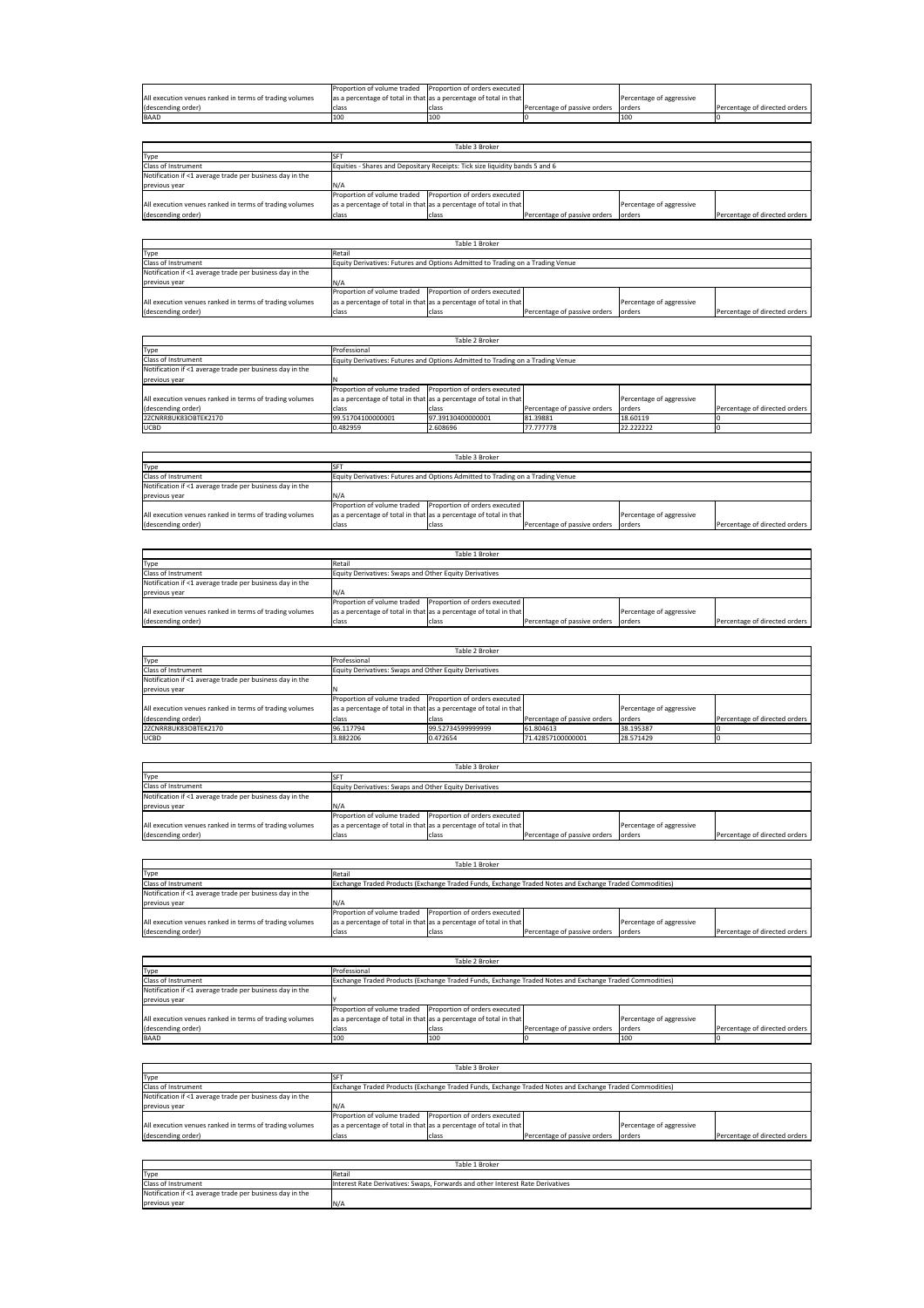|                                                         | <b>Proportion of volume traded</b> Proportion of orders executed  |       |                              |                          |                               |
|---------------------------------------------------------|-------------------------------------------------------------------|-------|------------------------------|--------------------------|-------------------------------|
| All execution venues ranked in terms of trading volumes | as a percentage of total in that as a percentage of total in that |       |                              | Percentage of aggressive |                               |
| (descending order)                                      | class                                                             | clas: | Percentage of passive orders | orders                   | Percentage of directed orders |
| <b>BAAD</b>                                             |                                                                   | 100   |                              |                          |                               |

|                                                          |                                                                   | Table 3 Broker                                                               |                              |                          |                               |
|----------------------------------------------------------|-------------------------------------------------------------------|------------------------------------------------------------------------------|------------------------------|--------------------------|-------------------------------|
| Type                                                     |                                                                   |                                                                              |                              |                          |                               |
| Class of Instrument                                      |                                                                   | Equities - Shares and Depositary Receipts: Tick size liquidity bands 5 and 6 |                              |                          |                               |
| Notification if <1 average trade per business day in the |                                                                   |                                                                              |                              |                          |                               |
| previous year                                            | N/A                                                               |                                                                              |                              |                          |                               |
|                                                          | Proportion of volume traded                                       | Proportion of orders executed                                                |                              |                          |                               |
| All execution venues ranked in terms of trading volumes  | as a percentage of total in that as a percentage of total in that |                                                                              |                              | Percentage of aggressive |                               |
| (descending order)                                       | class                                                             | class                                                                        | Percentage of passive orders | lorders                  | Percentage of directed orders |
|                                                          |                                                                   |                                                                              |                              |                          |                               |

| Table 1 Broker                                           |                                                                   |                                                                                |                              |                          |                               |  |
|----------------------------------------------------------|-------------------------------------------------------------------|--------------------------------------------------------------------------------|------------------------------|--------------------------|-------------------------------|--|
| Type                                                     | Retail                                                            |                                                                                |                              |                          |                               |  |
| Class of Instrument                                      |                                                                   | Equity Derivatives: Futures and Options Admitted to Trading on a Trading Venue |                              |                          |                               |  |
| Notification if <1 average trade per business day in the |                                                                   |                                                                                |                              |                          |                               |  |
| previous year                                            | IN/A                                                              |                                                                                |                              |                          |                               |  |
|                                                          | Proportion of volume traded Proportion of orders executed         |                                                                                |                              |                          |                               |  |
| All execution venues ranked in terms of trading volumes  | as a percentage of total in that as a percentage of total in that |                                                                                |                              | Percentage of aggressive |                               |  |
| (descending order)                                       | class                                                             | class                                                                          | Percentage of passive orders | orders                   | Percentage of directed orders |  |

| Table 2 Broker                                           |                                                                   |                                                                                |                              |                          |                               |  |
|----------------------------------------------------------|-------------------------------------------------------------------|--------------------------------------------------------------------------------|------------------------------|--------------------------|-------------------------------|--|
| Type                                                     | Professional                                                      |                                                                                |                              |                          |                               |  |
| Class of Instrument                                      |                                                                   | Equity Derivatives: Futures and Options Admitted to Trading on a Trading Venue |                              |                          |                               |  |
| Notification if <1 average trade per business day in the |                                                                   |                                                                                |                              |                          |                               |  |
| previous year                                            |                                                                   |                                                                                |                              |                          |                               |  |
|                                                          | Proportion of volume traded Proportion of orders executed         |                                                                                |                              |                          |                               |  |
| All execution venues ranked in terms of trading volumes  | as a percentage of total in that as a percentage of total in that |                                                                                |                              | Percentage of aggressive |                               |  |
| (descending order)                                       | class                                                             | class                                                                          | Percentage of passive orders | orders                   | Percentage of directed orders |  |
| 2ZCNRR8UK83OBTEK2170                                     | 99.51704100000001                                                 | 97.39130400000001                                                              | 81.39881                     | 18,60119                 |                               |  |
| <b>UCBD</b>                                              | 0.482959                                                          | 2.608696                                                                       | 77,777778                    | 22.222222                |                               |  |

| Table 3 Broker                                           |                                                                   |                                                                                |                              |                          |                               |  |  |
|----------------------------------------------------------|-------------------------------------------------------------------|--------------------------------------------------------------------------------|------------------------------|--------------------------|-------------------------------|--|--|
| Type                                                     |                                                                   |                                                                                |                              |                          |                               |  |  |
| <b>Class of Instrument</b>                               |                                                                   | Equity Derivatives: Futures and Options Admitted to Trading on a Trading Venue |                              |                          |                               |  |  |
| Notification if <1 average trade per business day in the |                                                                   |                                                                                |                              |                          |                               |  |  |
| previous year                                            |                                                                   |                                                                                |                              |                          |                               |  |  |
|                                                          | Proportion of volume traded Proportion of orders executed         |                                                                                |                              |                          |                               |  |  |
| All execution venues ranked in terms of trading volumes  | as a percentage of total in that as a percentage of total in that |                                                                                |                              | Percentage of aggressive |                               |  |  |
| (descending order)                                       | class                                                             | class                                                                          | Percentage of passive orders | lorders                  | Percentage of directed orders |  |  |

| Table 1 Broker                                           |                                                                   |                                                        |                              |                          |                               |  |
|----------------------------------------------------------|-------------------------------------------------------------------|--------------------------------------------------------|------------------------------|--------------------------|-------------------------------|--|
| Type                                                     | Retail                                                            |                                                        |                              |                          |                               |  |
| Class of Instrument                                      |                                                                   | Equity Derivatives: Swaps and Other Equity Derivatives |                              |                          |                               |  |
| Notification if <1 average trade per business day in the |                                                                   |                                                        |                              |                          |                               |  |
| previous year                                            | N/A                                                               |                                                        |                              |                          |                               |  |
|                                                          | Proportion of volume traded Proportion of orders executed         |                                                        |                              |                          |                               |  |
| All execution venues ranked in terms of trading volumes  | as a percentage of total in that as a percentage of total in that |                                                        |                              | Percentage of aggressive |                               |  |
| (descending order)                                       | class                                                             | class                                                  | Percentage of passive orders | lorders                  | Percentage of directed orders |  |

| Table 2 Broker                                           |                                                                   |                               |                              |                          |                               |  |  |
|----------------------------------------------------------|-------------------------------------------------------------------|-------------------------------|------------------------------|--------------------------|-------------------------------|--|--|
| Type                                                     | Professional                                                      |                               |                              |                          |                               |  |  |
| <b>Class of Instrument</b>                               | Equity Derivatives: Swaps and Other Equity Derivatives            |                               |                              |                          |                               |  |  |
| Notification if <1 average trade per business day in the |                                                                   |                               |                              |                          |                               |  |  |
| previous year                                            |                                                                   |                               |                              |                          |                               |  |  |
|                                                          | Proportion of volume traded                                       | Proportion of orders executed |                              |                          |                               |  |  |
| All execution venues ranked in terms of trading volumes  | as a percentage of total in that as a percentage of total in that |                               |                              | Percentage of aggressive |                               |  |  |
| (descending order)                                       | class                                                             | class                         | Percentage of passive orders | orders                   | Percentage of directed orders |  |  |
| 2ZCNRR8UK83OBTEK2170                                     | 96.117794                                                         | 99.52734599999999             | 61.804613                    | 38.195387                |                               |  |  |
| <b>UCBD</b>                                              | 3.882206                                                          | 0.472654                      | 71.42857100000001            | 28.571429                |                               |  |  |

| Table 3 Broker                                           |                                                                   |       |                              |                          |                               |  |
|----------------------------------------------------------|-------------------------------------------------------------------|-------|------------------------------|--------------------------|-------------------------------|--|
| Type                                                     |                                                                   |       |                              |                          |                               |  |
| Class of Instrument                                      | Equity Derivatives: Swaps and Other Equity Derivatives            |       |                              |                          |                               |  |
| Notification if <1 average trade per business day in the |                                                                   |       |                              |                          |                               |  |
| previous year                                            | N/A                                                               |       |                              |                          |                               |  |
|                                                          | Proportion of volume traded Proportion of orders executed         |       |                              |                          |                               |  |
| All execution venues ranked in terms of trading volumes  | as a percentage of total in that as a percentage of total in that |       |                              | Percentage of aggressive |                               |  |
| (descending order)                                       | class                                                             | class | Percentage of passive orders | orders                   | Percentage of directed orders |  |

| Table 1 Broker                                           |                                                                   |                                                                                                         |                              |                          |                               |  |
|----------------------------------------------------------|-------------------------------------------------------------------|---------------------------------------------------------------------------------------------------------|------------------------------|--------------------------|-------------------------------|--|
| Type                                                     | Retail                                                            |                                                                                                         |                              |                          |                               |  |
| Class of Instrument                                      |                                                                   | Exchange Traded Products (Exchange Traded Funds, Exchange Traded Notes and Exchange Traded Commodities) |                              |                          |                               |  |
| Notification if <1 average trade per business day in the |                                                                   |                                                                                                         |                              |                          |                               |  |
| previous year                                            | N/A                                                               |                                                                                                         |                              |                          |                               |  |
|                                                          | Proportion of volume traded                                       | Proportion of orders executed                                                                           |                              |                          |                               |  |
| All execution venues ranked in terms of trading volumes  | as a percentage of total in that as a percentage of total in that |                                                                                                         |                              | Percentage of aggressive |                               |  |
| (descending order)                                       | class                                                             | class                                                                                                   | Percentage of passive orders | lorders                  | Percentage of directed orders |  |

| Table 2 Broker                                           |                                                                   |                                                                                                         |                              |                          |                               |  |
|----------------------------------------------------------|-------------------------------------------------------------------|---------------------------------------------------------------------------------------------------------|------------------------------|--------------------------|-------------------------------|--|
| Type                                                     | Professional                                                      |                                                                                                         |                              |                          |                               |  |
| Class of Instrument                                      |                                                                   | Exchange Traded Products (Exchange Traded Funds, Exchange Traded Notes and Exchange Traded Commodities) |                              |                          |                               |  |
| Notification if <1 average trade per business day in the |                                                                   |                                                                                                         |                              |                          |                               |  |
| previous year                                            |                                                                   |                                                                                                         |                              |                          |                               |  |
|                                                          | Proportion of volume traded                                       | Proportion of orders executed                                                                           |                              |                          |                               |  |
| All execution venues ranked in terms of trading volumes  | as a percentage of total in that as a percentage of total in that |                                                                                                         |                              | Percentage of aggressive |                               |  |
| (descending order)                                       | class                                                             | class                                                                                                   | Percentage of passive orders | orders                   | Percentage of directed orders |  |
| <b>BAAD</b>                                              | 100                                                               | 1100                                                                                                    |                              | 100                      |                               |  |

| Table 3 Broker                                           |                                                                   |                                                                                                         |                              |                          |                               |  |
|----------------------------------------------------------|-------------------------------------------------------------------|---------------------------------------------------------------------------------------------------------|------------------------------|--------------------------|-------------------------------|--|
| Type                                                     |                                                                   |                                                                                                         |                              |                          |                               |  |
| Class of Instrument                                      |                                                                   | Exchange Traded Products (Exchange Traded Funds, Exchange Traded Notes and Exchange Traded Commodities) |                              |                          |                               |  |
| Notification if <1 average trade per business day in the |                                                                   |                                                                                                         |                              |                          |                               |  |
| previous year                                            | N/A                                                               |                                                                                                         |                              |                          |                               |  |
|                                                          | Proportion of volume traded                                       | Proportion of orders executed                                                                           |                              |                          |                               |  |
| All execution venues ranked in terms of trading volumes  | as a percentage of total in that as a percentage of total in that |                                                                                                         |                              | Percentage of aggressive |                               |  |
| (descending order)                                       | class                                                             | class                                                                                                   | Percentage of passive orders | orders                   | Percentage of directed orders |  |

| Table 1 Broker                                           |                                                                                |  |  |  |  |
|----------------------------------------------------------|--------------------------------------------------------------------------------|--|--|--|--|
| Type                                                     | Retail                                                                         |  |  |  |  |
| <b>Class of Instrument</b>                               | Interest Rate Derivatives: Swaps, Forwards and other Interest Rate Derivatives |  |  |  |  |
| Notification if <1 average trade per business day in the |                                                                                |  |  |  |  |
| previous year                                            | IN/A                                                                           |  |  |  |  |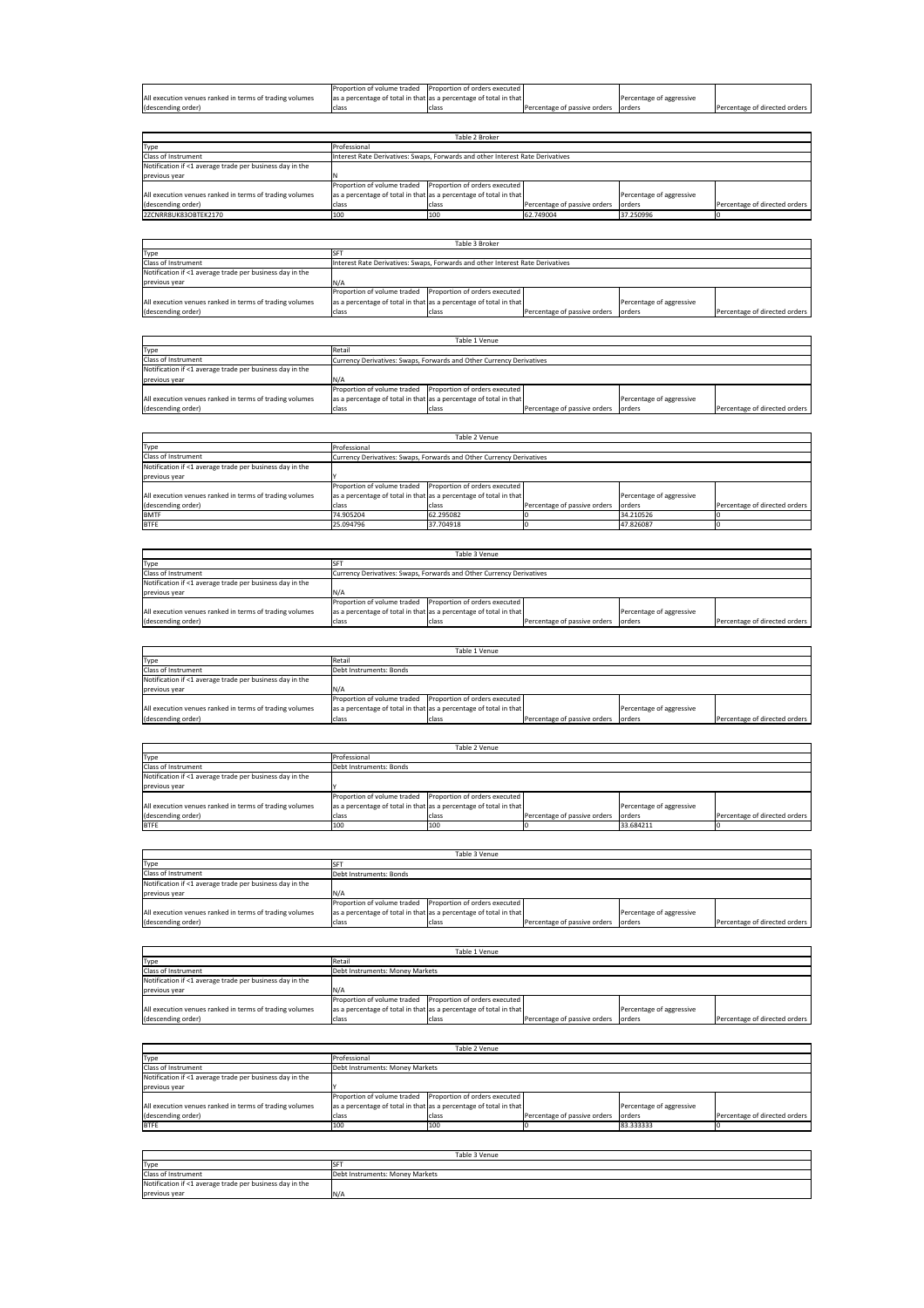|                                                         | Proportion of volume traded Proportion of orders executed         |        |                              |                          |                               |
|---------------------------------------------------------|-------------------------------------------------------------------|--------|------------------------------|--------------------------|-------------------------------|
| All execution venues ranked in terms of trading volumes | as a percentage of total in that as a percentage of total in that |        |                              | Percentage of aggressive |                               |
| (descending order)                                      | class                                                             | Iclass | Percentage of passive orders | lorders                  | Percentage of directed orders |

|                                                          | Table 2 Broker                                                    |                                                                                |                              |                          |                               |  |  |
|----------------------------------------------------------|-------------------------------------------------------------------|--------------------------------------------------------------------------------|------------------------------|--------------------------|-------------------------------|--|--|
| Type                                                     | Professional                                                      |                                                                                |                              |                          |                               |  |  |
| <b>Class of Instrument</b>                               |                                                                   | Interest Rate Derivatives: Swaps, Forwards and other Interest Rate Derivatives |                              |                          |                               |  |  |
| Notification if <1 average trade per business day in the |                                                                   |                                                                                |                              |                          |                               |  |  |
| previous year                                            |                                                                   |                                                                                |                              |                          |                               |  |  |
|                                                          | Proportion of volume traded Proportion of orders executed         |                                                                                |                              |                          |                               |  |  |
| All execution venues ranked in terms of trading volumes  | as a percentage of total in that as a percentage of total in that |                                                                                |                              | Percentage of aggressive |                               |  |  |
| (descending order)                                       | class                                                             | class                                                                          | Percentage of passive orders | lorders                  | Percentage of directed orders |  |  |
| 2ZCNRR8UK83OBTEK2170                                     | 100                                                               | 100                                                                            | 62.749004                    | 37.250996                |                               |  |  |
|                                                          |                                                                   |                                                                                |                              |                          |                               |  |  |

| Table 3 Broker                                           |                                                                   |                                                                                |                              |                          |                               |  |  |
|----------------------------------------------------------|-------------------------------------------------------------------|--------------------------------------------------------------------------------|------------------------------|--------------------------|-------------------------------|--|--|
| Type                                                     |                                                                   |                                                                                |                              |                          |                               |  |  |
| <b>Class of Instrument</b>                               |                                                                   | Interest Rate Derivatives: Swaps, Forwards and other Interest Rate Derivatives |                              |                          |                               |  |  |
| Notification if <1 average trade per business day in the |                                                                   |                                                                                |                              |                          |                               |  |  |
| previous year                                            |                                                                   |                                                                                |                              |                          |                               |  |  |
|                                                          | Proportion of volume traded Proportion of orders executed         |                                                                                |                              |                          |                               |  |  |
| All execution venues ranked in terms of trading volumes  | as a percentage of total in that as a percentage of total in that |                                                                                |                              | Percentage of aggressive |                               |  |  |
| (descending order)                                       | class                                                             | class                                                                          | Percentage of passive orders | orders                   | Percentage of directed orders |  |  |

| Table 1 Venue                                            |                                                                   |                                                                      |                              |                          |                               |  |  |
|----------------------------------------------------------|-------------------------------------------------------------------|----------------------------------------------------------------------|------------------------------|--------------------------|-------------------------------|--|--|
| Type                                                     | Retail                                                            |                                                                      |                              |                          |                               |  |  |
| Class of Instrument                                      |                                                                   | Currency Derivatives: Swaps, Forwards and Other Currency Derivatives |                              |                          |                               |  |  |
| Notification if <1 average trade per business day in the |                                                                   |                                                                      |                              |                          |                               |  |  |
| previous year                                            | N/A                                                               |                                                                      |                              |                          |                               |  |  |
|                                                          | Proportion of volume traded Proportion of orders executed         |                                                                      |                              |                          |                               |  |  |
| All execution venues ranked in terms of trading volumes  | as a percentage of total in that as a percentage of total in that |                                                                      |                              | Percentage of aggressive |                               |  |  |
| (descending order)                                       | class                                                             | class                                                                | Percentage of passive orders | lorders                  | Percentage of directed orders |  |  |

| Table 2 Venue                                            |                                                                   |                                                                      |                              |                          |                               |  |  |
|----------------------------------------------------------|-------------------------------------------------------------------|----------------------------------------------------------------------|------------------------------|--------------------------|-------------------------------|--|--|
| Type                                                     | Professional                                                      |                                                                      |                              |                          |                               |  |  |
| Class of Instrument                                      |                                                                   | Currency Derivatives: Swaps, Forwards and Other Currency Derivatives |                              |                          |                               |  |  |
| Notification if <1 average trade per business day in the |                                                                   |                                                                      |                              |                          |                               |  |  |
| previous year                                            |                                                                   |                                                                      |                              |                          |                               |  |  |
|                                                          | Proportion of volume traded Proportion of orders executed         |                                                                      |                              |                          |                               |  |  |
| All execution venues ranked in terms of trading volumes  | as a percentage of total in that as a percentage of total in that |                                                                      |                              | Percentage of aggressive |                               |  |  |
| (descending order)                                       | class                                                             | class                                                                | Percentage of passive orders | lorders                  | Percentage of directed orders |  |  |
| <b>BMTF</b>                                              | 74.905204                                                         | 62.295082                                                            |                              | 34.210526                |                               |  |  |
| <b>BTFE</b>                                              | 25.094796                                                         | 37.704918                                                            |                              | 47.826087                |                               |  |  |

| Table 3 Venue                                            |                                                                   |                                                                      |                              |                          |                               |  |  |
|----------------------------------------------------------|-------------------------------------------------------------------|----------------------------------------------------------------------|------------------------------|--------------------------|-------------------------------|--|--|
| Type                                                     |                                                                   |                                                                      |                              |                          |                               |  |  |
| Class of Instrument                                      |                                                                   | Currency Derivatives: Swaps, Forwards and Other Currency Derivatives |                              |                          |                               |  |  |
| Notification if <1 average trade per business day in the |                                                                   |                                                                      |                              |                          |                               |  |  |
| previous year                                            | N/A                                                               |                                                                      |                              |                          |                               |  |  |
|                                                          | Proportion of volume traded                                       | Proportion of orders executed                                        |                              |                          |                               |  |  |
| All execution venues ranked in terms of trading volumes  | as a percentage of total in that as a percentage of total in that |                                                                      |                              | Percentage of aggressive |                               |  |  |
| (descending order)                                       | class                                                             | class                                                                | Percentage of passive orders | lorders                  | Percentage of directed orders |  |  |
|                                                          |                                                                   |                                                                      |                              |                          |                               |  |  |
|                                                          |                                                                   |                                                                      |                              |                          |                               |  |  |

| Table 1 Venue                                            |                                                                   |       |                              |                          |                               |  |  |
|----------------------------------------------------------|-------------------------------------------------------------------|-------|------------------------------|--------------------------|-------------------------------|--|--|
| Type                                                     | Retail                                                            |       |                              |                          |                               |  |  |
| Class of Instrument                                      | Debt Instruments: Bonds                                           |       |                              |                          |                               |  |  |
| Notification if <1 average trade per business day in the |                                                                   |       |                              |                          |                               |  |  |
| previous year                                            | N/A                                                               |       |                              |                          |                               |  |  |
|                                                          | Proportion of volume traded Proportion of orders executed         |       |                              |                          |                               |  |  |
| All execution venues ranked in terms of trading volumes  | as a percentage of total in that as a percentage of total in that |       |                              | Percentage of aggressive |                               |  |  |
| (descending order)                                       | class                                                             | class | Percentage of passive orders | orders                   | Percentage of directed orders |  |  |

ř.

| Table 2 Venue                                            |                                                                   |       |                              |                          |                               |  |  |
|----------------------------------------------------------|-------------------------------------------------------------------|-------|------------------------------|--------------------------|-------------------------------|--|--|
| Type                                                     | Professional                                                      |       |                              |                          |                               |  |  |
| Class of Instrument                                      | Debt Instruments: Bonds                                           |       |                              |                          |                               |  |  |
| Notification if <1 average trade per business day in the |                                                                   |       |                              |                          |                               |  |  |
| previous year                                            |                                                                   |       |                              |                          |                               |  |  |
|                                                          | Proportion of volume traded Proportion of orders executed         |       |                              |                          |                               |  |  |
| All execution venues ranked in terms of trading volumes  | as a percentage of total in that as a percentage of total in that |       |                              | Percentage of aggressive |                               |  |  |
| (descending order)                                       | class                                                             | class | Percentage of passive orders | lorders                  | Percentage of directed orders |  |  |
| <b>BTFE</b>                                              | 100                                                               | 100   |                              | 33.684211                |                               |  |  |

| Table 3 Venue                                            |                                                                   |       |                              |                          |                               |  |  |
|----------------------------------------------------------|-------------------------------------------------------------------|-------|------------------------------|--------------------------|-------------------------------|--|--|
| Type                                                     |                                                                   |       |                              |                          |                               |  |  |
| Class of Instrument                                      | Debt Instruments: Bonds                                           |       |                              |                          |                               |  |  |
| Notification if <1 average trade per business day in the |                                                                   |       |                              |                          |                               |  |  |
| previous year                                            | N/A                                                               |       |                              |                          |                               |  |  |
|                                                          | Proportion of volume traded Proportion of orders executed         |       |                              |                          |                               |  |  |
| All execution venues ranked in terms of trading volumes  | as a percentage of total in that as a percentage of total in that |       |                              | Percentage of aggressive |                               |  |  |
| (descending order)                                       | class                                                             | class | Percentage of passive orders | lorders                  | Percentage of directed orders |  |  |
|                                                          |                                                                   |       |                              |                          |                               |  |  |

| Table 1 Venue                                            |                                                                   |                                 |                              |                          |                               |  |  |
|----------------------------------------------------------|-------------------------------------------------------------------|---------------------------------|------------------------------|--------------------------|-------------------------------|--|--|
| Type                                                     | Retail                                                            |                                 |                              |                          |                               |  |  |
| <b>Class of Instrument</b>                               |                                                                   | Debt Instruments: Money Markets |                              |                          |                               |  |  |
| Notification if <1 average trade per business day in the |                                                                   |                                 |                              |                          |                               |  |  |
| previous year                                            | N/A                                                               |                                 |                              |                          |                               |  |  |
|                                                          | Proportion of volume traded Proportion of orders executed         |                                 |                              |                          |                               |  |  |
| All execution venues ranked in terms of trading volumes  | as a percentage of total in that as a percentage of total in that |                                 |                              | Percentage of aggressive |                               |  |  |
| (descending order)                                       | class                                                             | class                           | Percentage of passive orders | lorders                  | Percentage of directed orders |  |  |

| Table 2 Venue                                            |                                                                   |                                 |                              |                          |                               |  |  |
|----------------------------------------------------------|-------------------------------------------------------------------|---------------------------------|------------------------------|--------------------------|-------------------------------|--|--|
| Type                                                     | Professional                                                      |                                 |                              |                          |                               |  |  |
| Class of Instrument                                      |                                                                   | Debt Instruments: Money Markets |                              |                          |                               |  |  |
| Notification if <1 average trade per business day in the |                                                                   |                                 |                              |                          |                               |  |  |
| previous year                                            |                                                                   |                                 |                              |                          |                               |  |  |
|                                                          | Proportion of volume traded Proportion of orders executed         |                                 |                              |                          |                               |  |  |
| All execution venues ranked in terms of trading volumes  | as a percentage of total in that as a percentage of total in that |                                 |                              | Percentage of aggressive |                               |  |  |
| (descending order)                                       | class                                                             | class                           | Percentage of passive orders | lorders                  | Percentage of directed orders |  |  |
| <b>BTFE</b>                                              | 100                                                               | 100                             |                              | 83.333333                |                               |  |  |

| Table 3 Venue                                            |                                 |  |  |  |
|----------------------------------------------------------|---------------------------------|--|--|--|
| Type                                                     |                                 |  |  |  |
| Class of Instrument                                      | Debt Instruments: Money Markets |  |  |  |
| Notification if <1 average trade per business day in the |                                 |  |  |  |
| previous year                                            | 'N/A                            |  |  |  |